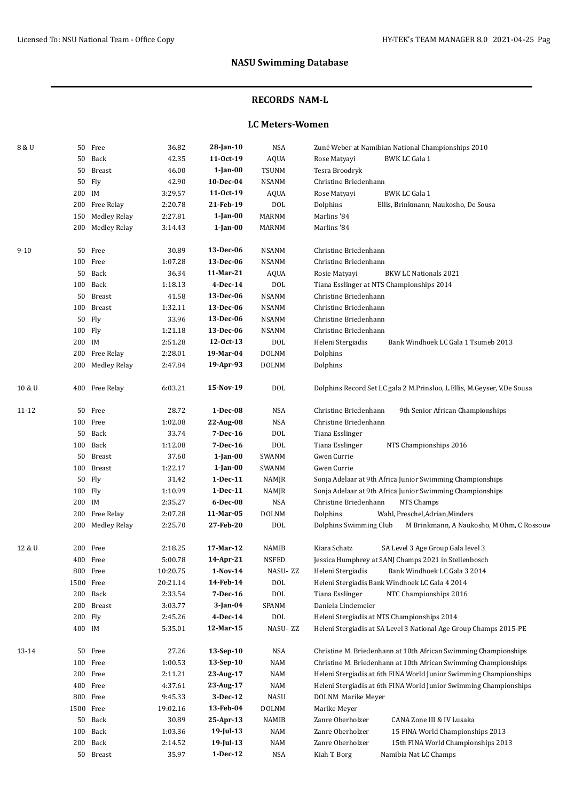### **RECORDS NAM-L**

#### **LC Meters-Women**

| 8 & U    |         | 50 Free             | 36.82    | 28-Jan-10      | NSA          | Zuné Weber at Namibian National Championships 2010                      |
|----------|---------|---------------------|----------|----------------|--------------|-------------------------------------------------------------------------|
|          | 50      | Back                | 42.35    | 11-0ct-19      | <b>AQUA</b>  | <b>BWK LC Gala 1</b><br>Rose Matyayi                                    |
|          | 50      | <b>Breast</b>       | 46.00    | $1$ -Jan- $00$ | <b>TSUNM</b> | Tesra Broodryk                                                          |
|          | 50      | Fly                 | 42.90    | 10-Dec-04      | <b>NSANM</b> | Christine Briedenhann                                                   |
|          | 200 IM  |                     | 3:29.57  | 11-0ct-19      | AQUA         | <b>BWK LC Gala 1</b><br>Rose Matyayi                                    |
|          | 200     | Free Relay          | 2:20.78  | 21-Feb-19      | <b>DOL</b>   | Dolphins<br>Ellis, Brinkmann, Naukosho, De Sousa                        |
|          | 150     | <b>Medley Relay</b> | 2:27.81  | $1$ -Jan- $00$ | <b>MARNM</b> | Marlins '84                                                             |
|          | 200     | Medley Relay        | 3:14.43  | $1$ -Jan-00    | <b>MARNM</b> | Marlins '84                                                             |
|          |         |                     |          |                |              |                                                                         |
| $9 - 10$ |         | 50 Free             | 30.89    | 13-Dec-06      | <b>NSANM</b> | Christine Briedenhann                                                   |
|          |         | 100 Free            | 1:07.28  | 13-Dec-06      | <b>NSANM</b> | Christine Briedenhann                                                   |
|          | 50      | Back                | 36.34    | 11-Mar-21      | AQUA         | <b>BKW LC Nationals 2021</b><br>Rosie Matyayi                           |
|          |         | 100 Back            | 1:18.13  | 4-Dec-14       | <b>DOL</b>   | Tiana Esslinger at NTS Championships 2014                               |
|          |         | 50 Breast           | 41.58    | 13-Dec-06      | <b>NSANM</b> | Christine Briedenhann                                                   |
|          | 100     | Breast              | 1:32.11  | 13-Dec-06      | <b>NSANM</b> | Christine Briedenhann                                                   |
|          | 50      | Fly                 | 33.96    | 13-Dec-06      | <b>NSANM</b> | Christine Briedenhann                                                   |
|          | 100 Fly |                     | 1:21.18  | 13-Dec-06      | <b>NSANM</b> | Christine Briedenhann                                                   |
|          | 200 IM  |                     | 2:51.28  | 12-0ct-13      | <b>DOL</b>   | Heleni Stergiadis<br>Bank Windhoek LC Gala 1 Tsumeb 2013                |
|          | 200     | Free Relay          | 2:28.01  | 19-Mar-04      | <b>DOLNM</b> | Dolphins                                                                |
|          | 200     | Medley Relay        | 2:47.84  | 19-Apr-93      | <b>DOLNM</b> | Dolphins                                                                |
| 10 & U   |         | 400 Free Relay      | 6:03.21  | 15-Nov-19      | <b>DOL</b>   | Dolphins Record Set LC gala 2 M.Prinsloo, L.Ellis, M.Geyser, V.De Sousa |
| 11-12    | 50      | Free                | 28.72    | $1-Dec-08$     | NSA          | Christine Briedenhann<br>9th Senior African Championships               |
|          |         | 100 Free            | 1:02.08  | 22-Aug-08      | <b>NSA</b>   | Christine Briedenhann                                                   |
|          | 50      | Back                | 33.74    | 7-Dec-16       | <b>DOL</b>   | Tiana Esslinger                                                         |
|          |         | 100 Back            | 1:12.08  | 7-Dec-16       | <b>DOL</b>   | Tiana Esslinger<br>NTS Championships 2016                               |
|          | 50      | Breast              | 37.60    | $1$ -Jan-00    | SWANM        | Gwen Currie                                                             |
|          | 100     | <b>Breast</b>       | 1:22.17  | $1$ -Jan-00    | SWANM        | Gwen Currie                                                             |
|          | 50      | Fly                 | 31.42    | $1-Dec-11$     | NAMJR        | Sonja Adelaar at 9th Africa Junior Swimming Championships               |
|          | 100     | Fly                 | 1:10.99  | $1-Dec-11$     | NAMJR        | Sonja Adelaar at 9th Africa Junior Swimming Championships               |
|          | 200 IM  |                     | 2:35.27  | 6-Dec-08       | <b>NSA</b>   | NTS Champs<br>Christine Briedenhann                                     |
|          | 200     | Free Relay          | 2:07.28  | 11-Mar-05      | <b>DOLNM</b> | Dolphins<br>Wahl, Preschel, Adrian, Minders                             |
|          | 200     | <b>Medley Relay</b> | 2:25.70  | 27-Feb-20      | <b>DOL</b>   | Dolphins Swimming Club<br>M Brinkmann, A Naukosho, M Ohm, C Rossouv     |
| 12 & U   | 200     | Free                | 2:18.25  | 17-Mar-12      | NAMIB        | Kiara Schatz<br>SA Level 3 Age Group Gala level 3                       |
|          |         | 400 Free            | 5:00.78  | 14-Apr-21      | <b>NSFED</b> | Jessica Humphrey at SANJ Champs 2021 in Stellenbosch                    |
|          |         | 800 Free            | 10:20.75 | $1-Nov-14$     | NASU-ZZ      | Heleni Stergiadis<br>Bank Windhoek LC Gala 3 2014                       |
|          | 1500    | Free                | 20:21.14 | 14-Feb-14      | <b>DOL</b>   | Heleni Stergiadis Bank Windhoek LC Gala 4 2014                          |
|          | 200     | Back                | 2:33.54  | 7-Dec-16       | <b>DOL</b>   | Tiana Esslinger<br>NTC Championships 2016                               |
|          | 200     | <b>Breast</b>       | 3:03.77  | $3$ -Jan-04    | SPANM        | Daniela Lindemeier                                                      |
|          | 200     | Fly                 | 2:45.26  | 4-Dec-14       | <b>DOL</b>   | Heleni Stergiadis at NTS Championships 2014                             |
|          | 400 IM  |                     | 5:35.01  | 12-Mar-15      | NASU-ZZ      | Heleni Stergiadis at SA Level 3 National Age Group Champs 2015-PE       |
|          |         |                     |          |                |              |                                                                         |
| 13-14    | 50      | Free                | 27.26    | 13-Sep-10      | NSA          | Christine M. Briedenhann at 10th African Swimming Championships         |
|          | 100     | Free                | 1:00.53  | 13-Sep-10      | NAM          | Christine M. Briedenhann at 10th African Swimming Championships         |
|          | 200     | Free                | 2:11.21  | 23-Aug-17      | <b>NAM</b>   | Heleni Stergiadis at 6th FINA World Junior Swimming Championships       |
|          | 400     | Free                | 4:37.61  | 23-Aug-17      | <b>NAM</b>   | Heleni Stergiadis at 6th FINA World Junior Swimming Championships       |
|          | 800     | Free                | 9:45.33  | 3-Dec-12       | <b>NASU</b>  | DOLNM Marike Meyer                                                      |
|          | 1500    | Free                | 19:02.16 | 13-Feb-04      | <b>DOLNM</b> | Marike Meyer                                                            |
|          | 50      | Back                | 30.89    | 25-Apr-13      | NAMIB        | Zanre Oberholzer<br>CANA Zone III & IV Lusaka                           |
|          | 100     | Back                | 1:03.36  | $19$ -Jul-13   | NAM          | Zanre Oberholzer<br>15 FINA World Championships 2013                    |
|          | 200     | Back                | 2:14.52  | $19$ -Jul-13   | <b>NAM</b>   | Zanre Oberholzer<br>15th FINA World Championships 2013                  |
|          | 50      | Breast              | 35.97    | $1-Dec-12$     | NSA          | Kiah T. Borg<br>Namibia Nat LC Champs                                   |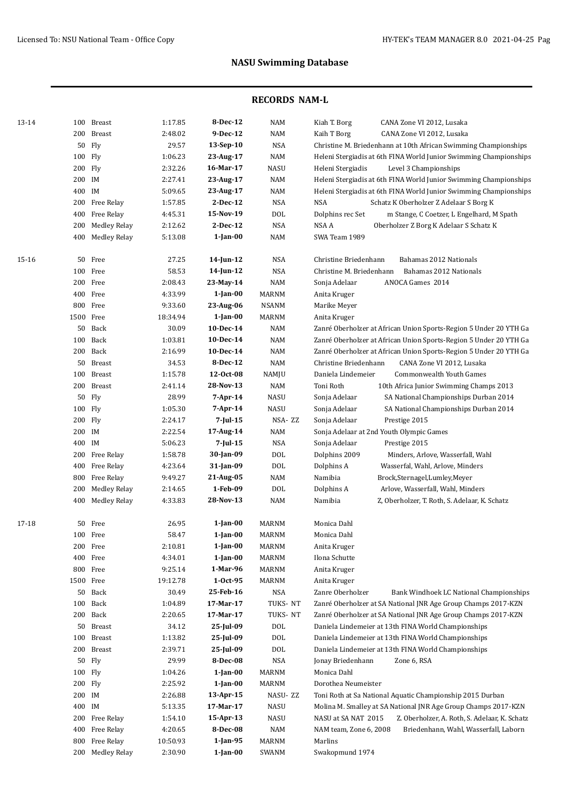| 13-14 |           | 100 Breast          | 1:17.85  | 8-Dec-12       | <b>NAM</b>      | Kiah T. Borg<br>CANA Zone VI 2012, Lusaka                            |
|-------|-----------|---------------------|----------|----------------|-----------------|----------------------------------------------------------------------|
|       | 200       | <b>Breast</b>       | 2:48.02  | 9-Dec-12       | <b>NAM</b>      | Kaih T Borg<br>CANA Zone VI 2012, Lusaka                             |
|       | 50        | Fly                 | 29.57    | $13-Sep-10$    | <b>NSA</b>      | Christine M. Briedenhann at 10th African Swimming Championships      |
|       | 100 Fly   |                     | 1:06.23  | 23-Aug-17      | <b>NAM</b>      | Heleni Stergiadis at 6th FINA World Junior Swimming Championships    |
|       | 200 Fly   |                     | 2:32.26  | 16-Mar-17      | <b>NASU</b>     | Heleni Stergiadis<br>Level 3 Championships                           |
|       | 200 IM    |                     | 2:27.41  | 23-Aug-17      | <b>NAM</b>      | Heleni Stergiadis at 6th FINA World Junior Swimming Championships    |
|       | 400 IM    |                     | 5:09.65  | 23-Aug-17      | <b>NAM</b>      | Heleni Stergiadis at 6th FINA World Junior Swimming Championships    |
|       | 200       | Free Relay          | 1:57.85  | $2-Dec-12$     | <b>NSA</b>      | <b>NSA</b><br>Schatz K Oberholzer Z Adelaar S Borg K                 |
|       | 400       | Free Relay          | 4:45.31  | 15-Nov-19      | <b>DOL</b>      | Dolphins rec Set<br>m Stange, C Coetzer, L Engelhard, M Spath        |
|       | 200       | <b>Medley Relay</b> | 2:12.62  | 2-Dec-12       | <b>NSA</b>      | NSA A<br>Oberholzer Z Borg K Adelaar S Schatz K                      |
|       | 400       | <b>Medley Relay</b> | 5:13.08  | $1$ -Jan- $00$ | <b>NAM</b>      | SWA Team 1989                                                        |
| 15-16 | 50        | Free                | 27.25    | 14-Jun-12      | <b>NSA</b>      | Christine Briedenhann<br>Bahamas 2012 Nationals                      |
|       | 100       | Free                | 58.53    | 14-Jun-12      | <b>NSA</b>      | Christine M. Briedenhann<br>Bahamas 2012 Nationals                   |
|       |           | 200 Free            | 2:08.43  | 23-May-14      | <b>NAM</b>      | ANOCA Games 2014<br>Sonja Adelaar                                    |
|       |           | 400 Free            | 4:33.99  | 1-Jan-00       | MARNM           | Anita Kruger                                                         |
|       |           | 800 Free            | 9:33.60  | 23-Aug-06      | <b>NSANM</b>    | Marike Meyer                                                         |
|       | 1500 Free |                     | 18:34.94 | $1$ -Jan- $00$ | <b>MARNM</b>    | Anita Kruger                                                         |
|       | 50        | Back                | 30.09    | 10-Dec-14      | <b>NAM</b>      | Zanré Oberholzer at African Union Sports-Region 5 Under 20 YTH Ga    |
|       | 100       | Back                | 1:03.81  | 10-Dec-14      | <b>NAM</b>      | Zanré Oberholzer at African Union Sports-Region 5 Under 20 YTH Ga    |
|       |           | 200 Back            | 2:16.99  | 10-Dec-14      | <b>NAM</b>      | Zanré Oberholzer at African Union Sports-Region 5 Under 20 YTH Ga    |
|       |           | 50 Breast           | 34.53    | 8-Dec-12       | <b>NAM</b>      | Christine Briedenhann<br>CANA Zone VI 2012, Lusaka                   |
|       | 100       | <b>Breast</b>       | 1:15.78  | 12-Oct-08      | NAMJU           | Daniela Lindemeier<br>Commonwealth Youth Games                       |
|       | 200       | <b>Breast</b>       | 2:41.14  | 28-Nov-13      | <b>NAM</b>      | Toni Roth<br>10th Africa Junior Swimming Champs 2013                 |
|       | 50        | Fly                 | 28.99    | $7$ -Apr-14    | <b>NASU</b>     | Sonja Adelaar<br>SA National Championships Durban 2014               |
|       | 100 Fly   |                     | 1:05.30  | 7-Apr-14       | NASU            | Sonja Adelaar<br>SA National Championships Durban 2014               |
|       | 200 Fly   |                     | 2:24.17  | $7$ -Jul-15    | NSA-ZZ          | Sonja Adelaar<br>Prestige 2015                                       |
|       | 200 IM    |                     | 2:22.54  | 17-Aug-14      | <b>NAM</b>      | Sonja Adelaar at 2nd Youth Olympic Games                             |
|       | 400 IM    |                     | 5:06.23  | $7$ -Jul-15    | <b>NSA</b>      | Sonja Adelaar<br>Prestige 2015                                       |
|       |           | 200 Free Relay      | 1:58.78  | 30-Jan-09      | <b>DOL</b>      | Dolphins 2009<br>Minders, Arlove, Wasserfall, Wahl                   |
|       |           | 400 Free Relay      | 4:23.64  | 31-Jan-09      | <b>DOL</b>      | Dolphins A<br>Wasserfal, Wahl, Arlove, Minders                       |
|       | 800       | Free Relay          | 9:49.27  | 21-Aug-05      | <b>NAM</b>      | Namibia<br>Brock,Sternagel,Lumley,Meyer                              |
|       | 200       | <b>Medley Relay</b> | 2:14.65  | 1-Feb-09       | <b>DOL</b>      | Dolphins A<br>Arlove, Wasserfall, Wahl, Minders                      |
|       | 400       | Medley Relay        | 4:33.83  | 28-Nov-13      | <b>NAM</b>      | Namibia<br>Z, Oberholzer, T. Roth, S. Adelaar, K. Schatz             |
| 17-18 | 50        | Free                | 26.95    | $1$ -Jan-00    | MARNM           | Monica Dahl                                                          |
|       |           | 100 Free            | 58.47    | $1$ -Jan- $00$ | MARNM           | Monica Dahl                                                          |
|       |           | 200 Free            | 2:10.81  | $1$ -Jan-00    | <b>MARNM</b>    | Anita Kruger                                                         |
|       |           | 400 Free            | 4:34.01  | $1$ -Jan-00    | <b>MARNM</b>    | Ilona Schutte                                                        |
|       |           | 800 Free            | 9:25.14  | 1-Mar-96       | <b>MARNM</b>    | Anita Kruger                                                         |
|       | 1500 Free |                     | 19:12.78 | $1-0ct-95$     | <b>MARNM</b>    | Anita Kruger                                                         |
|       | 50        | Back                | 30.49    | 25-Feb-16      | <b>NSA</b>      | Zanre Oberholzer<br>Bank Windhoek LC National Championships          |
|       | 100       | Back                | 1:04.89  | 17-Mar-17      | TUKS-NT         | Zanré Oberholzer at SA National JNR Age Group Champs 2017-KZN        |
|       |           | 200 Back            | 2:20.65  | 17-Mar-17      | TUKS-NT         | Zanré Oberholzer at SA National JNR Age Group Champs 2017-KZN        |
|       | 50        | Breast              | 34.12    | 25-Jul-09      | <b>DOL</b>      | Daniela Lindemeier at 13th FINA World Championships                  |
|       | 100       | Breast              | 1:13.82  | 25-Jul-09      | <b>DOL</b>      | Daniela Lindemeier at 13th FINA World Championships                  |
|       | 200       | Breast              | 2:39.71  | 25-Jul-09      | DO <sub>L</sub> | Daniela Lindemeier at 13th FINA World Championships                  |
|       | 50        | Fly                 | 29.99    | 8-Dec-08       | <b>NSA</b>      | Jonay Briedenhann<br>Zone 6, RSA                                     |
|       | 100 Fly   |                     | 1:04.26  | $1$ -Jan-00    | <b>MARNM</b>    | Monica Dahl                                                          |
|       | 200 Fly   |                     | 2:25.92  | $1$ -Jan- $00$ | <b>MARNM</b>    | Dorothea Neumeister                                                  |
|       | 200 IM    |                     | 2:26.88  | 13-Apr-15      | NASU-ZZ         | Toni Roth at Sa National Aquatic Championship 2015 Durban            |
|       | 400 IM    |                     | 5:13.35  | 17-Mar-17      | NASU            | Molina M. Smalley at SA National JNR Age Group Champs 2017-KZN       |
|       | 200       | Free Relay          | 1:54.10  | 15-Apr-13      | <b>NASU</b>     | Z. Oberholzer, A. Roth, S. Adelaar, K. Schatz<br>NASU at SA NAT 2015 |
|       | 400       | Free Relay          | 4:20.65  | 8-Dec-08       | <b>NAM</b>      | NAM team, Zone 6, 2008<br>Briedenhann, Wahl, Wasserfall, Laborn      |
|       | 800       | Free Relay          | 10:50.93 | 1-Jan-95       | <b>MARNM</b>    | Marlins                                                              |
|       |           | 200 Medley Relay    | 2:30.90  | $1$ -Jan-00    | SWANM           | Swakopmund 1974                                                      |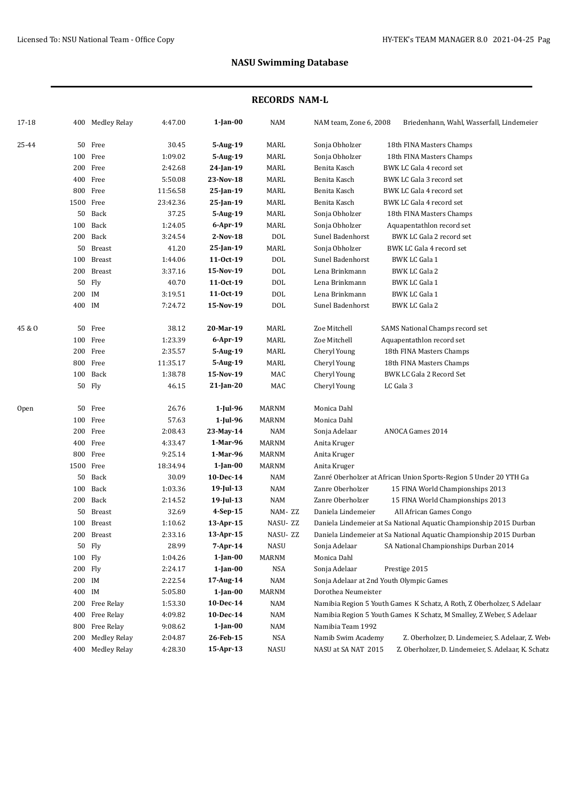| 17-18  |        | 400 Medley Relay    | 4:47.00  | $1$ -Jan- $00$ | NAM          | NAM team, Zone 6, 2008                   | Briedenhann, Wahl, Wasserfall, Lindemeier                              |
|--------|--------|---------------------|----------|----------------|--------------|------------------------------------------|------------------------------------------------------------------------|
| 25-44  | 50     | Free                | 30.45    | 5-Aug-19       | MARL         | Sonja Obholzer                           | 18th FINA Masters Champs                                               |
|        |        | 100 Free            | 1:09.02  | 5-Aug-19       | MARL         | Sonja Obholzer                           | 18th FINA Masters Champs                                               |
|        | 200    | Free                | 2:42.68  | 24-Jan-19      | MARL         | Benita Kasch                             | BWK LC Gala 4 record set                                               |
|        | 400    | Free                | 5:50.08  | 23-Nov-18      | MARL         | Benita Kasch                             | BWK LC Gala 3 record set                                               |
|        | 800    | Free                | 11:56.58 | 25-Jan-19      | MARL         | Benita Kasch                             | BWK LC Gala 4 record set                                               |
|        | 1500   | Free                | 23:42.36 | 25-Jan-19      | MARL         | Benita Kasch                             | BWK LC Gala 4 record set                                               |
|        | 50     | Back                | 37.25    | 5-Aug-19       | MARL         | Sonja Obholzer                           | 18th FINA Masters Champs                                               |
|        | 100    | Back                | 1:24.05  | $6$ -Apr-19    | MARL         | Sonja Obholzer                           | Aquapentathlon record set                                              |
|        | 200    | Back                | 3:24.54  | $2-Nov-18$     | DOL          | Sunel Badenhorst                         | BWK LC Gala 2 record set                                               |
|        | 50     | Breast              | 41.20    | 25-Jan-19      | MARL         | Sonja Obholzer                           | BWK LC Gala 4 record set                                               |
|        | 100    | <b>Breast</b>       | 1:44.06  | 11-0ct-19      | <b>DOL</b>   | Sunel Badenhorst                         | <b>BWK LC Gala 1</b>                                                   |
|        | 200    | Breast              | 3:37.16  | 15-Nov-19      | DOL          | Lena Brinkmann                           | <b>BWK LC Gala 2</b>                                                   |
|        | 50     | Fly                 | 40.70    | 11-0ct-19      | DOL          | Lena Brinkmann                           | <b>BWK LC Gala 1</b>                                                   |
|        | 200 IM |                     | 3:19.51  | $11-0ct-19$    | DOL          | Lena Brinkmann                           | <b>BWK LC Gala 1</b>                                                   |
|        | 400 IM |                     | 7:24.72  | 15-Nov-19      | <b>DOL</b>   | Sunel Badenhorst                         | <b>BWK LC Gala 2</b>                                                   |
| 45 & O | 50     | Free                | 38.12    | 20-Mar-19      | MARL         | Zoe Mitchell                             | SAMS National Champs record set                                        |
|        |        | 100 Free            | 1:23.39  | $6$ -Apr-19    | MARL         | Zoe Mitchell                             | Aquapentathlon record set                                              |
|        |        | 200 Free            | 2:35.57  | 5-Aug-19       | MARL         | Cheryl Young                             | 18th FINA Masters Champs                                               |
|        | 800    | Free                | 11:35.17 | 5-Aug-19       | MARL         | Cheryl Young                             | 18th FINA Masters Champs                                               |
|        | 100    | Back                | 1:38.78  | 15-Nov-19      | MAC          | Cheryl Young                             | <b>BWK LC Gala 2 Record Set</b>                                        |
|        |        | 50 Fly              | 46.15    | 21-Jan-20      | MAC          | Cheryl Young                             | LC Gala 3                                                              |
| Open   | 50     | Free                | 26.76    | 1-Jul-96       | <b>MARNM</b> | Monica Dahl                              |                                                                        |
|        |        | 100 Free            | 57.63    | 1-Jul-96       | <b>MARNM</b> | Monica Dahl                              |                                                                        |
|        | 200    | Free                | 2:08.43  | 23-May-14      | <b>NAM</b>   | Sonja Adelaar                            | ANOCA Games 2014                                                       |
|        | 400    | Free                | 4:33.47  | 1-Mar-96       | <b>MARNM</b> | Anita Kruger                             |                                                                        |
|        | 800    | Free                | 9:25.14  | 1-Mar-96       | <b>MARNM</b> | Anita Kruger                             |                                                                        |
|        |        | 1500 Free           | 18:34.94 | $1$ -Jan-00    | MARNM        | Anita Kruger                             |                                                                        |
|        | 50     | Back                | 30.09    | 10-Dec-14      | <b>NAM</b>   |                                          | Zanré Oberholzer at African Union Sports-Region 5 Under 20 YTH Ga      |
|        | 100    | Back                | 1:03.36  | 19-Jul-13      | <b>NAM</b>   | Zanre Oberholzer                         | 15 FINA World Championships 2013                                       |
|        | 200    | Back                | 2:14.52  | $19$ -Jul-13   | NAM          | Zanre Oberholzer                         | 15 FINA World Championships 2013                                       |
|        | 50     | Breast              | 32.69    | $4-Sep-15$     | NAM-ZZ       | Daniela Lindemeier                       | All African Games Congo                                                |
|        | 100    | Breast              | 1:10.62  | 13-Apr-15      | NASU-ZZ      |                                          | Daniela Lindemeier at Sa National Aquatic Championship 2015 Durban     |
|        |        | 200 Breast          | 2:33.16  | 13-Apr-15      | NASU-ZZ      |                                          | Daniela Lindemeier at Sa National Aquatic Championship 2015 Durban     |
|        |        | 50 Fly              | 28.99    | 7-Apr-14       | <b>NASU</b>  | Sonja Adelaar                            | SA National Championships Durban 2014                                  |
|        |        | 100 Fly             | 1:04.26  | $1$ -Jan- $00$ | <b>MARNM</b> | Monica Dahl                              |                                                                        |
|        |        | 200 Fly             | 2:24.17  | $1$ -Jan- $00$ | NSA          | Sonja Adelaar                            | Prestige 2015                                                          |
|        | 200 IM |                     | 2:22.54  | 17-Aug-14      | NAM          | Sonja Adelaar at 2nd Youth Olympic Games |                                                                        |
|        | 400 IM |                     | 5:05.80  | 1-Jan-00       | <b>MARNM</b> | Dorothea Neumeister                      |                                                                        |
|        |        | 200 Free Relay      | 1:53.30  | 10-Dec-14      | NAM          |                                          | Namibia Region 5 Youth Games K Schatz, A Roth, Z Oberholzer, S Adelaar |
|        | 400    | Free Relay          | 4:09.82  | 10-Dec-14      | NAM          |                                          | Namibia Region 5 Youth Games K Schatz, M Smalley, Z Weber, S Adelaar   |
|        | 800    | Free Relay          | 9:08.62  | $1$ -Jan- $00$ | NAM          | Namibia Team 1992                        |                                                                        |
|        | 200    | <b>Medley Relay</b> | 2:04.87  | 26-Feb-15      | NSA          | Namib Swim Academy                       | Z. Oberholzer, D. Lindemeier, S. Adelaar, Z. Web-                      |
|        |        | 400 Medley Relay    | 4:28.30  | 15-Apr-13      | NASU         | NASU at SA NAT 2015                      | Z. Oberholzer, D. Lindemeier, S. Adelaar, K. Schatz                    |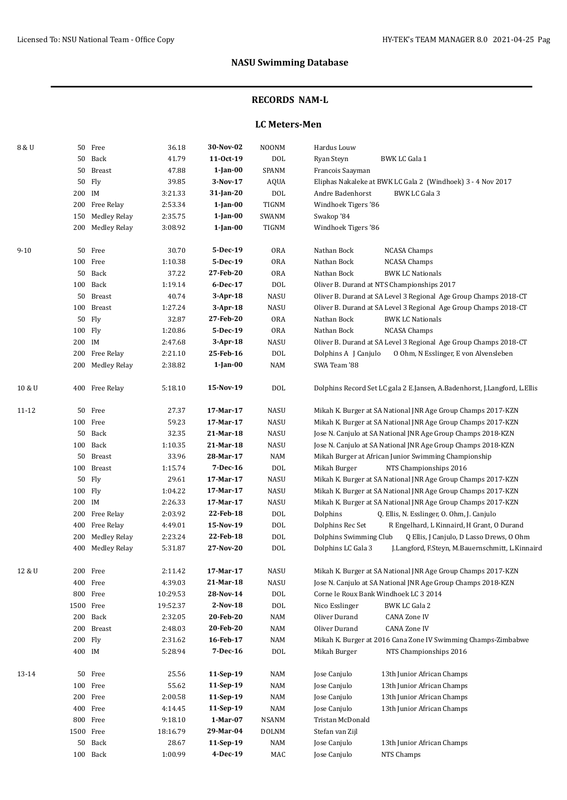### **RECORDS NAM-L**

### **LC Meters-Men**

| 8 & U    |        | 50 Free             | 36.18    | 30-Nov-02      | <b>NOONM</b> | Hardus Louw                                                               |
|----------|--------|---------------------|----------|----------------|--------------|---------------------------------------------------------------------------|
|          | 50     | Back                | 41.79    | 11-0ct-19      | <b>DOL</b>   | Ryan Steyn<br><b>BWK LC Gala 1</b>                                        |
|          | 50     | Breast              | 47.88    | $1$ -Jan-00    | SPANM        | Francois Saayman                                                          |
|          | 50     | Fly                 | 39.85    | 3-Nov-17       | AQUA         | Eliphas Nakaleke at BWK LC Gala 2 (Windhoek) 3 - 4 Nov 2017               |
|          | 200 IM |                     | 3:21.33  | 31-Jan-20      | DOL          | Andre Badenhorst<br>BWK LC Gala 3                                         |
|          |        | 200 Free Relay      | 2:53.34  | $1$ -Jan-00    | <b>TIGNM</b> | Windhoek Tigers '86                                                       |
|          | 150    | <b>Medley Relay</b> | 2:35.75  | $1$ -Jan-00    | SWANM        | Swakop '84                                                                |
|          |        | 200 Medley Relay    | 3:08.92  | $1$ -Jan- $00$ | TIGNM        | Windhoek Tigers '86                                                       |
|          |        |                     |          |                |              |                                                                           |
| $9 - 10$ | 50     | Free                | 30.70    | 5-Dec-19       | <b>ORA</b>   | <b>NCASA Champs</b><br>Nathan Bock                                        |
|          |        | 100 Free            | 1:10.38  | 5-Dec-19       | <b>ORA</b>   | Nathan Bock<br><b>NCASA Champs</b>                                        |
|          |        | 50 Back             | 37.22    | 27-Feb-20      | <b>ORA</b>   | Nathan Bock<br><b>BWK LC Nationals</b>                                    |
|          |        | 100 Back            | 1:19.14  | 6-Dec-17       | DOL          | Oliver B. Durand at NTS Championships 2017                                |
|          |        | 50 Breast           | 40.74    | $3$ -Apr-18    | NASU         | Oliver B. Durand at SA Level 3 Regional Age Group Champs 2018-CT          |
|          |        | 100 Breast          | 1:27.24  | $3$ -Apr-18    | NASU         | Oliver B. Durand at SA Level 3 Regional Age Group Champs 2018-CT          |
|          |        | 50 Fly              | 32.87    | 27-Feb-20      | <b>ORA</b>   | Nathan Bock<br><b>BWK LC Nationals</b>                                    |
|          |        | 100 Fly             | 1:20.86  | 5-Dec-19       | <b>ORA</b>   | Nathan Bock<br><b>NCASA Champs</b>                                        |
|          | 200 IM |                     | 2:47.68  | $3$ -Apr-18    | NASU         | Oliver B. Durand at SA Level 3 Regional Age Group Champs 2018-CT          |
|          |        | 200 Free Relay      | 2:21.10  | 25-Feb-16      | <b>DOL</b>   | Dolphins A J Canjulo<br>0 Ohm, N Esslinger, E von Alvensleben             |
|          |        | 200 Medley Relay    | 2:38.82  | 1-Jan-00       | NAM          | SWA Team '88                                                              |
| 10 & U   |        | 400 Free Relay      | 5:18.10  | 15-Nov-19      | <b>DOL</b>   | Dolphins Record Set LC gala 2 E.Jansen, A.Badenhorst, J.Langford, L.Ellis |
| 11-12    |        | 50 Free             | 27.37    | 17-Mar-17      | <b>NASU</b>  | Mikah K. Burger at SA National JNR Age Group Champs 2017-KZN              |
|          |        | 100 Free            | 59.23    | 17-Mar-17      | <b>NASU</b>  | Mikah K. Burger at SA National JNR Age Group Champs 2017-KZN              |
|          |        | 50 Back             | 32.35    | 21-Mar-18      | NASU         | Jose N. Canjulo at SA National JNR Age Group Champs 2018-KZN              |
|          |        | 100 Back            | 1:10.35  | 21-Mar-18      | NASU         | Jose N. Canjulo at SA National JNR Age Group Champs 2018-KZN              |
|          |        | 50 Breast           | 33.96    | 28-Mar-17      | NAM          | Mikah Burger at African Junior Swimming Championship                      |
|          |        | 100 Breast          | 1:15.74  | 7-Dec-16       | <b>DOL</b>   | Mikah Burger<br>NTS Championships 2016                                    |
|          |        | 50 Fly              | 29.61    | 17-Mar-17      | <b>NASU</b>  | Mikah K. Burger at SA National JNR Age Group Champs 2017-KZN              |
|          |        | 100 Fly             | 1:04.22  | 17-Mar-17      | NASU         | Mikah K. Burger at SA National JNR Age Group Champs 2017-KZN              |
|          | 200 IM |                     | 2:26.33  | 17-Mar-17      | NASU         | Mikah K. Burger at SA National JNR Age Group Champs 2017-KZN              |
|          |        | 200 Free Relay      | 2:03.92  | 22-Feb-18      | $\rm DOL$    | Q. Ellis, N. Esslinger, O. Ohm, J. Canjulo<br>Dolphins                    |
|          |        | 400 Free Relay      | 4:49.01  | 15-Nov-19      | $\rm DOL$    | Dolphins Rec Set<br>R Engelhard, L Kinnaird, H Grant, O Durand            |
|          |        | 200 Medley Relay    | 2:23.24  | 22-Feb-18      | <b>DOL</b>   | Dolphins Swimming Club<br>Q Ellis, J Canjulo, D Lasso Drews, O Ohm        |
|          |        | 400 Medley Relay    | 5:31.87  | 27-Nov-20      | <b>DOL</b>   | Dolphins LC Gala 3<br>J.Langford, F.Steyn, M.Bauernschmitt, L.Kinnaird    |
| 12 & U   |        | 200 Free            | 2:11.42  | 17-Mar-17      | NASU         | Mikah K. Burger at SA National JNR Age Group Champs 2017-KZN              |
|          |        | 400 Free            | 4:39.03  | 21-Mar-18      | NASU         | Jose N. Canjulo at SA National JNR Age Group Champs 2018-KZN              |
|          |        | 800 Free            | 10:29.53 | 28-Nov-14      | <b>DOL</b>   | Corne le Roux Bank Windhoek LC 3 2014                                     |
|          |        | 1500 Free           | 19:52.37 | $2-Nov-18$     | <b>DOL</b>   | Nico Esslinger<br>BWK LC Gala 2                                           |
|          |        | 200 Back            | 2:32.05  | 20-Feb-20      | NAM          | Oliver Durand<br><b>CANA Zone IV</b>                                      |
|          |        | 200 Breast          | 2:48.03  | 20-Feb-20      | NAM          | Oliver Durand<br><b>CANA Zone IV</b>                                      |
|          |        | 200 Fly             | 2:31.62  | 16-Feb-17      | NAM          | Mikah K. Burger at 2016 Cana Zone IV Swimming Champs-Zimbabwe             |
|          | 400 IM |                     | 5:28.94  | 7-Dec-16       | <b>DOL</b>   | Mikah Burger<br>NTS Championships 2016                                    |
| 13-14    |        | 50 Free             | 25.56    | 11-Sep-19      | NAM          | Jose Canjulo<br>13th Junior African Champs                                |
|          |        | 100 Free            | 55.62    | 11-Sep-19      | NAM          | Jose Canjulo<br>13th Junior African Champs                                |
|          |        | 200 Free            | 2:00.58  | 11-Sep-19      | NAM          | Jose Canjulo<br>13th Junior African Champs                                |
|          |        | 400 Free            | 4:14.45  | 11-Sep-19      | NAM          | Jose Canjulo<br>13th Junior African Champs                                |
|          |        | 800 Free            | 9:18.10  | 1-Mar-07       | NSANM        | Tristan McDonald                                                          |
|          |        | 1500 Free           | 18:16.79 | 29-Mar-04      | <b>DOLNM</b> | Stefan van Zijl                                                           |
|          |        | 50 Back             | 28.67    | 11-Sep-19      | NAM          | Jose Canjulo<br>13th Junior African Champs                                |
|          | 100    | Back                | 1:00.99  | 4-Dec-19       | MAC          | Jose Canjulo<br>NTS Champs                                                |
|          |        |                     |          |                |              |                                                                           |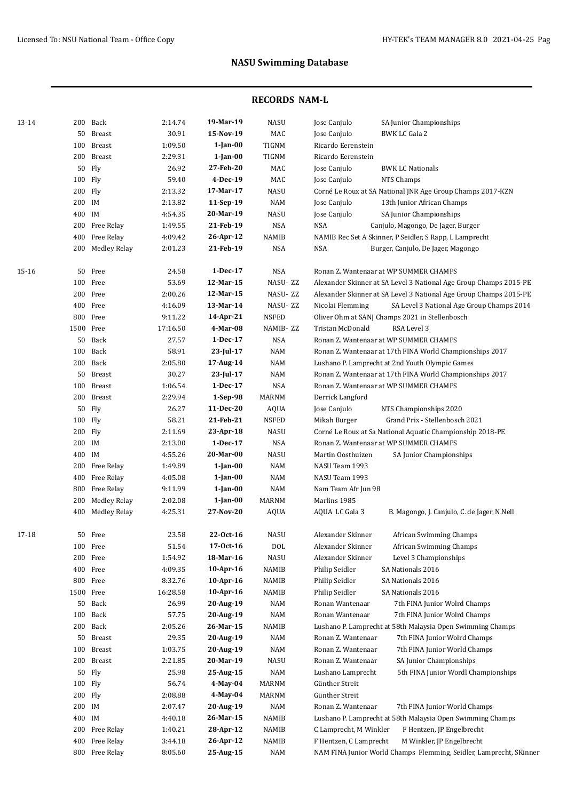| 13-14 |           | 200 Back               | 2:14.74  | 19-Mar-19      | NASU           | Jose Canjulo<br>SA Junior Championships                            |
|-------|-----------|------------------------|----------|----------------|----------------|--------------------------------------------------------------------|
|       | 50        | <b>Breast</b>          | 30.91    | 15-Nov-19      | MAC            | Jose Canjulo<br>BWK LC Gala 2                                      |
|       | 100       | <b>Breast</b>          | 1:09.50  | $1$ -Jan- $00$ | TIGNM          | Ricardo Eerenstein                                                 |
|       | 200       | <b>Breast</b>          | 2:29.31  | $1$ -Jan- $00$ | TIGNM          | Ricardo Eerenstein                                                 |
|       | 50        | Fly                    | 26.92    | 27-Feb-20      | MAC            | Jose Canjulo<br><b>BWK LC Nationals</b>                            |
|       | 100 Fly   |                        | 59.40    | 4-Dec-19       | MAC            | Jose Canjulo<br>NTS Champs                                         |
|       | 200 Fly   |                        | 2:13.32  | 17-Mar-17      | NASU           | Corné Le Roux at SA National JNR Age Group Champs 2017-KZN         |
|       | 200 IM    |                        | 2:13.82  | 11-Sep-19      | NAM            | Jose Canjulo<br>13th Junior African Champs                         |
|       | 400 IM    |                        | 4:54.35  | 20-Mar-19      | <b>NASU</b>    | Jose Canjulo<br>SA Junior Championships                            |
|       | 200       | Free Relay             | 1:49.55  | 21-Feb-19      | <b>NSA</b>     | <b>NSA</b><br>Canjulo, Magongo, De Jager, Burger                   |
|       | 400       | Free Relay             | 4:09.42  | 26-Apr-12      | NAMIB          | NAMIB Rec Set A Skinner, P Seidler, S Rapp, L Lamprecht            |
|       | 200       | Medley Relay           | 2:01.23  | 21-Feb-19      | <b>NSA</b>     | <b>NSA</b><br>Burger, Canjulo, De Jager, Magongo                   |
| 15-16 | 50        | Free                   | 24.58    | 1-Dec-17       | NSA            | Ronan Z. Wantenaar at WP SUMMER CHAMPS                             |
|       | 100       | Free                   | 53.69    | 12-Mar-15      | NASU-ZZ        | Alexander Skinner at SA Level 3 National Age Group Champs 2015-PE  |
|       |           | 200 Free               | 2:00.26  | 12-Mar-15      | NASU-ZZ        | Alexander Skinner at SA Level 3 National Age Group Champs 2015-PE  |
|       |           | 400 Free               | 4:16.09  | 13-Mar-14      | NASU-ZZ        | SA Level 3 National Age Group Champs 2014<br>Nicolai Flemming      |
|       |           | 800 Free               | 9:11.22  | 14-Apr-21      | <b>NSFED</b>   | Oliver Ohm at SANJ Champs 2021 in Stellenbosch                     |
|       |           | 1500 Free              | 17:16.50 | 4-Mar-08       | NAMIB-ZZ       | Tristan McDonald<br>RSA Level 3                                    |
|       |           | 50 Back                | 27.57    | 1-Dec-17       | <b>NSA</b>     | Ronan Z. Wantenaar at WP SUMMER CHAMPS                             |
|       |           | 100 Back               | 58.91    | 23-Jul-17      | NAM            | Ronan Z. Wantenaar at 17th FINA World Championships 2017           |
|       |           | 200 Back               | 2:05.80  | 17-Aug-14      | NAM            | Lushano P. Lamprecht at 2nd Youth Olympic Games                    |
|       |           | 50 Breast              | 30.27    | 23-Jul-17      | NAM            | Ronan Z. Wantenaar at 17th FINA World Championships 2017           |
|       | 100       | <b>Breast</b>          | 1:06.54  | 1-Dec-17       | <b>NSA</b>     | Ronan Z. Wantenaar at WP SUMMER CHAMPS                             |
|       | 200       | Breast                 | 2:29.94  | $1-Sep-98$     | MARNM          | Derrick Langford                                                   |
|       |           | 50 Fly                 | 26.27    | 11-Dec-20      | AQUA           | Jose Canjulo<br>NTS Championships 2020                             |
|       | 100 Fly   |                        | 58.21    | 21-Feb-21      | <b>NSFED</b>   | Grand Prix - Stellenbosch 2021<br>Mikah Burger                     |
|       | 200 Fly   |                        | 2:11.69  | 23-Apr-18      | <b>NASU</b>    | Corné Le Roux at Sa National Aquatic Championship 2018-PE          |
|       | 200 IM    |                        | 2:13.00  | 1-Dec-17       | <b>NSA</b>     | Ronan Z. Wantenaar at WP SUMMER CHAMPS                             |
|       | 400 IM    |                        | 4:55.26  | 20-Mar-00      | NASU           | Martin Oosthuizen<br>SA Junior Championships                       |
|       |           | 200 Free Relay         | 1:49.89  | $1$ -Jan- $00$ | NAM            | NASU Team 1993                                                     |
|       |           | 400 Free Relay         | 4:05.08  | $1$ -Jan- $00$ | NAM            | NASU Team 1993                                                     |
|       | 800       | Free Relay             | 9:11.99  | $1$ -Jan- $00$ | NAM            | Nam Team Afr Jun 98                                                |
|       | 200       | <b>Medley Relay</b>    | 2:02.08  | $1$ -Jan- $00$ | <b>MARNM</b>   | Marlins 1985                                                       |
|       |           | 400 Medley Relay       | 4:25.31  | 27-Nov-20      | <b>AQUA</b>    | AQUA LC Gala 3<br>B. Magongo, J. Canjulo, C. de Jager, N.Nell      |
| 17-18 |           | 50 Free                | 23.58    | 22-Oct-16      | <b>NASU</b>    | Alexander Skinner<br>African Swimming Champs                       |
|       |           | 100 Free               | 51.54    | 17-Oct-16      | DOL            | Alexander Skinner<br>African Swimming Champs                       |
|       |           | 200 Free               | 1:54.92  | 18-Mar-16      | NASU           | Alexander Skinner<br>Level 3 Championships                         |
|       |           | 400 Free               | 4:09.35  | 10-Apr-16      | NAMIB          | Philip Seidler<br>SA Nationals 2016                                |
|       |           | 800 Free               | 8:32.76  | 10-Apr-16      | NAMIB          | Philip Seidler<br>SA Nationals 2016                                |
|       | 1500 Free |                        | 16:28.58 | 10-Apr-16      | NAMIB          | Philip Seidler<br>SA Nationals 2016                                |
|       |           | 50 Back                | 26.99    | 20-Aug-19      | <b>NAM</b>     | Ronan Wantenaar<br>7th FINA Junior Wolrd Champs                    |
|       |           | 100 Back               | 57.75    | 20-Aug-19      | $\textsf{NAM}$ | Ronan Wantenaar<br>7th FINA Junior Wolrd Champs                    |
|       |           | 200 Back               | 2:05.26  | 26-Mar-15      | NAMIB          | Lushano P. Lamprecht at 58th Malaysia Open Swimming Champs         |
|       | 50        | Breast                 | 29.35    | 20-Aug-19      | <b>NAM</b>     | Ronan Z. Wantenaar<br>7th FINA Junior Wolrd Champs                 |
|       | 100       | $\operatorname{Breat}$ | 1:03.75  | 20-Aug-19      | NAM            | Ronan Z. Wantenaar<br>7th FINA Junior World Champs                 |
|       | 200       | Breast                 | 2:21.85  | 20-Mar-19      | NASU           | Ronan Z. Wantenaar<br>SA Junior Championships                      |
|       | 50        | Fly                    | 25.98    | 25-Aug-15      | NAM            | Lushano Lamprecht<br>5th FINA Junior Wordl Championships           |
|       | 100 Fly   |                        | 56.74    | 4-May-04       | MARNM          | Günther Streit                                                     |
|       | 200 Fly   |                        | 2:08.88  | 4-May-04       | MARNM          | Günther Streit                                                     |
|       | 200 IM    |                        | 2:07.47  | 20-Aug-19      | NAM            | Ronan Z. Wantenaar<br>7th FINA Junior World Champs                 |
|       | 400 IM    |                        | 4:40.18  | 26-Mar-15      | NAMIB          | Lushano P. Lamprecht at 58th Malaysia Open Swimming Champs         |
|       | 200       | Free Relay             | 1:40.21  | 28-Apr-12      | NAMIB          | C Lamprecht, M Winkler<br>F Hentzen, JP Engelbrecht                |
|       | 400       | Free Relay             | 3:44.18  | 26-Apr-12      | NAMIB          | F Hentzen, C Lamprecht<br>M Winkler, JP Engelbrecht                |
|       |           | 800 Free Relay         | 8:05.60  | 25-Aug-15      | NAM            | NAM FINA Junior World Champs Flemming, Seidler, Lamprecht, SKinner |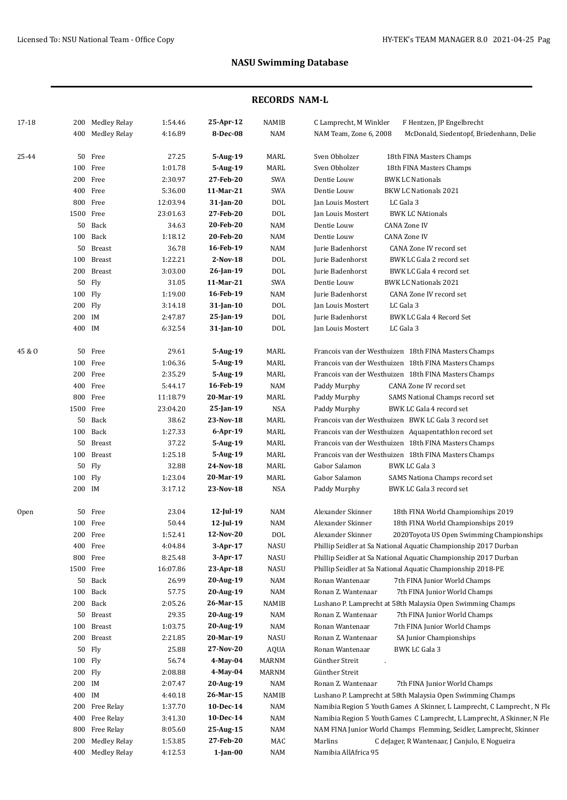| 17-18  |           | 200 Medley Relay | 1:54.46  | 25-Apr-12    | NAMIB          | C Lamprecht, M Winkler | F Hentzen, JP Engelbrecht                                               |
|--------|-----------|------------------|----------|--------------|----------------|------------------------|-------------------------------------------------------------------------|
|        |           | 400 Medley Relay | 4:16.89  | 8-Dec-08     | NAM            | NAM Team, Zone 6, 2008 | McDonald, Siedentopf, Briedenhann, Delie                                |
|        |           |                  |          |              |                |                        |                                                                         |
| 25-44  |           | 50 Free          | 27.25    | 5-Aug-19     | MARL           | Sven Obholzer          | 18th FINA Masters Champs                                                |
|        |           | 100 Free         | 1:01.78  | 5-Aug-19     | MARL           | Sven Obholzer          | 18th FINA Masters Champs                                                |
|        |           | 200 Free         | 2:30.97  | 27-Feb-20    | SWA            | Dentie Louw            | <b>BWK LC Nationals</b>                                                 |
|        |           | 400 Free         | 5:36.00  | 11-Mar-21    | SWA            | Dentie Louw            | <b>BKW LC Nationals 2021</b>                                            |
|        |           | 800 Free         | 12:03.94 | 31-Jan-20    | <b>DOL</b>     | Jan Louis Mostert      | LC Gala 3                                                               |
|        | 1500 Free |                  | 23:01.63 | 27-Feb-20    | DOL            | Jan Louis Mostert      | <b>BWK LC NAtionals</b>                                                 |
|        |           | 50 Back          | 34.63    | 20-Feb-20    | NAM            | Dentie Louw            | <b>CANA Zone IV</b>                                                     |
|        |           | 100 Back         | 1:18.12  | 20-Feb-20    | NAM            | Dentie Louw            | <b>CANA Zone IV</b>                                                     |
|        |           | 50 Breast        | 36.78    | 16-Feb-19    | NAM            | Jurie Badenhorst       | CANA Zone IV record set                                                 |
|        |           | 100 Breast       | 1:22.21  | $2-Nov-18$   | DOL            | Jurie Badenhorst       | BWK LC Gala 2 record set                                                |
|        |           | 200 Breast       | 3:03.00  | 26-Jan-19    | DOL            | Jurie Badenhorst       | BWK LC Gala 4 record set                                                |
|        |           | 50 Fly           | 31.05    | 11-Mar-21    | SWA            | Dentie Louw            | <b>BWK LC Nationals 2021</b>                                            |
|        | 100 Fly   |                  | 1:19.00  | 16-Feb-19    | NAM            | Jurie Badenhorst       | CANA Zone IV record set                                                 |
|        | 200 Fly   |                  | 3:14.18  | 31-Jan-10    | DOL            | Jan Louis Mostert      | LC Gala 3                                                               |
|        | 200 IM    |                  | 2:47.87  | 25-Jan-19    | DOL            | Jurie Badenhorst       | BWK LC Gala 4 Record Set                                                |
|        | 400 IM    |                  | 6:32.54  | 31-Jan-10    | DOL            | Jan Louis Mostert      | LC Gala 3                                                               |
| 45 & O |           | 50 Free          | 29.61    | 5-Aug-19     | MARL           |                        | Francois van der Westhuizen 18th FINA Masters Champs                    |
|        |           | 100 Free         | 1:06.36  | 5-Aug-19     | MARL           |                        | Francois van der Westhuizen 18th FINA Masters Champs                    |
|        |           | 200 Free         | 2:35.29  | 5-Aug-19     | MARL           |                        | Francois van der Westhuizen 18th FINA Masters Champs                    |
|        |           | 400 Free         | 5:44.17  | 16-Feb-19    | NAM            | Paddy Murphy           | CANA Zone IV record set                                                 |
|        |           | 800 Free         | 11:18.79 | 20-Mar-19    | MARL           | Paddy Murphy           | SAMS National Champs record set                                         |
|        | 1500 Free |                  | 23:04.20 | 25-Jan-19    | <b>NSA</b>     | Paddy Murphy           | BWK LC Gala 4 record set                                                |
|        |           | 50 Back          | 38.62    | 23-Nov-18    | MARL           |                        | Francois van der Westhuizen BWK LC Gala 3 record set                    |
|        |           | 100 Back         | 1:27.33  | $6$ -Apr-19  | MARL           |                        | Francois van der Westhuizen Aquapentathlon record set                   |
|        |           | 50 Breast        | 37.22    | 5-Aug-19     | MARL           |                        | Francois van der Westhuizen 18th FINA Masters Champs                    |
|        |           | 100 Breast       | 1:25.18  | 5-Aug-19     | MARL           |                        | Francois van der Westhuizen 18th FINA Masters Champs                    |
|        |           | 50 Fly           | 32.88    | 24-Nov-18    | MARL           | Gabor Salamon          | BWK LC Gala 3                                                           |
|        | 100 Fly   |                  | 1:23.04  | 20-Mar-19    | MARL           | Gabor Salamon          | SAMS Nationa Champs record set                                          |
|        | 200 IM    |                  | 3:17.12  | 23-Nov-18    | <b>NSA</b>     | Paddy Murphy           | BWK LC Gala 3 record set                                                |
| Open   |           | 50 Free          | 23.04    | 12-Jul-19    | NAM            | Alexander Skinner      | 18th FINA World Championships 2019                                      |
|        |           | 100 Free         | 50.44    | $12$ -Jul-19 | <b>NAM</b>     | Alexander Skinner      | 18th FINA World Championships 2019                                      |
|        |           | 200 Free         | 1:52.41  | 12-Nov-20    | <b>DOL</b>     | Alexander Skinner      | 2020Toyota US Open Swimming Championships                               |
|        |           | 400 Free         | 4:04.84  | 3-Apr-17     | NASU           |                        | Phillip Seidler at Sa National Aquatic Championship 2017 Durban         |
|        |           | 800 Free         | 8:25.48  | 3-Apr-17     | NASU           |                        | Phillip Seidler at Sa National Aquatic Championship 2017 Durban         |
|        | 1500 Free |                  | 16:07.86 | 23-Apr-18    | NASU           |                        | Phillip Seidler at Sa National Aquatic Championship 2018-PE             |
|        |           | 50 Back          | 26.99    | 20-Aug-19    | NAM            | Ronan Wantenaar        | 7th FINA Junior World Champs                                            |
|        |           | 100 Back         | 57.75    | 20-Aug-19    | <b>NAM</b>     | Ronan Z. Wantenaar     | 7th FINA Junior World Champs                                            |
|        |           | 200 Back         | 2:05.26  | 26-Mar-15    | NAMIB          |                        | Lushano P. Lamprecht at 58th Malaysia Open Swimming Champs              |
|        |           | 50 Breast        | 29.35    | 20-Aug-19    | $\textsf{NAM}$ | Ronan Z. Wantenaar     | 7th FINA Junior World Champs                                            |
|        |           | 100 Breast       | 1:03.75  | 20-Aug-19    | $\textsf{NAM}$ | Ronan Wantenaar        | 7th FINA Junior World Champs                                            |
|        |           | 200 Breast       | 2:21.85  | 20-Mar-19    | NASU           | Ronan Z. Wantenaar     | SA Junior Championships                                                 |
|        |           | 50 Fly           | 25.88    | 27-Nov-20    | AQUA           | Ronan Wantenaar        | BWK LC Gala 3                                                           |
|        | 100 Fly   |                  | 56.74    | 4-May-04     | MARNM          | Günther Streit         |                                                                         |
|        | 200 Fly   |                  | 2:08.88  | 4-May-04     | MARNM          | Günther Streit         |                                                                         |
|        | 200 IM    |                  | 2:07.47  | 20-Aug-19    | NAM            | Ronan Z. Wantenaar     | 7th FINA Junior World Champs                                            |
|        | 400 IM    |                  | 4:40.18  | 26-Mar-15    | NAMIB          |                        | Lushano P. Lamprecht at 58th Malaysia Open Swimming Champs              |
|        |           | 200 Free Relay   | 1:37.70  | 10-Dec-14    | NAM            |                        | Namibia Region 5 Youth Games A Skinner, L Lamprecht, C Lamprecht, N Fle |
|        |           | 400 Free Relay   | 3:41.30  | 10-Dec-14    | NAM            |                        | Namibia Region 5 Youth Games C Lamprecht, L Lamprecht, A Skinner, N Fle |
|        |           | 800 Free Relay   | 8:05.60  | 25-Aug-15    | NAM            |                        | NAM FINA Junior World Champs Flemming, Seidler, Lamprecht, Skinner      |
|        |           | 200 Medley Relay | 1:53.85  | 27-Feb-20    | MAC            | Marlins                | C deJager, R Wantenaar, J Canjulo, E Nogueira                           |
|        |           | 400 Medley Relay | 4:12.53  | 1-Jan-00     | NAM            | Namibia AllAfrica 95   |                                                                         |
|        |           |                  |          |              |                |                        |                                                                         |